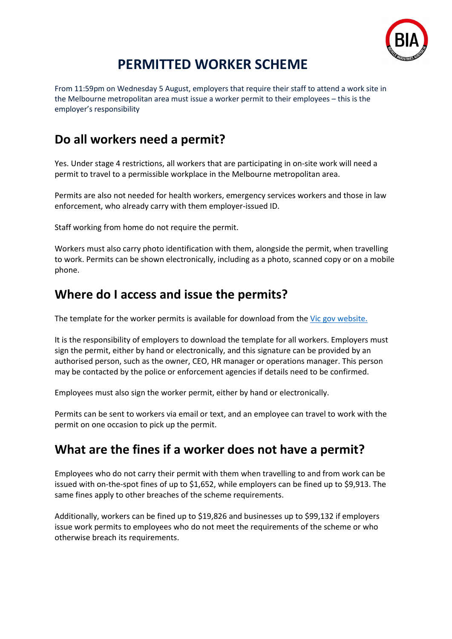

## **PERMITTED WORKER SCHEME**

From 11:59pm on Wednesday 5 August, employers that require their staff to attend a work site in the Melbourne metropolitan area must issue a worker permit to their employees – this is the employer's responsibility

#### **Do all workers need a permit?**

Yes. Under stage 4 restrictions, all workers that are participating in on-site work will need a permit to travel to a permissible workplace in the Melbourne metropolitan area.

Permits are also not needed for health workers, emergency services workers and those in law enforcement, who already carry with them employer-issued ID.

Staff working from home do not require the permit.

Workers must also carry photo identification with them, alongside the permit, when travelling to work. Permits can be shown electronically, including as a photo, scanned copy or on a mobile phone.

#### **Where do I access and issue the permits?**

The template for the worker permits is available for download from the [Vic gov website.](https://www.vic.gov.au/worker-permit-scheme)

It is the responsibility of employers to download the template for all workers. Employers must sign the permit, either by hand or electronically, and this signature can be provided by an authorised person, such as the owner, CEO, HR manager or operations manager. This person may be contacted by the police or enforcement agencies if details need to be confirmed.

Employees must also sign the worker permit, either by hand or electronically.

Permits can be sent to workers via email or text, and an employee can travel to work with the permit on one occasion to pick up the permit.

### **What are the fines if a worker does not have a permit?**

Employees who do not carry their permit with them when travelling to and from work can be issued with on-the-spot fines of up to \$1,652, while employers can be fined up to \$9,913. The same fines apply to other breaches of the scheme requirements.

Additionally, workers can be fined up to \$19,826 and businesses up to \$99,132 if employers issue work permits to employees who do not meet the requirements of the scheme or who otherwise breach its requirements.